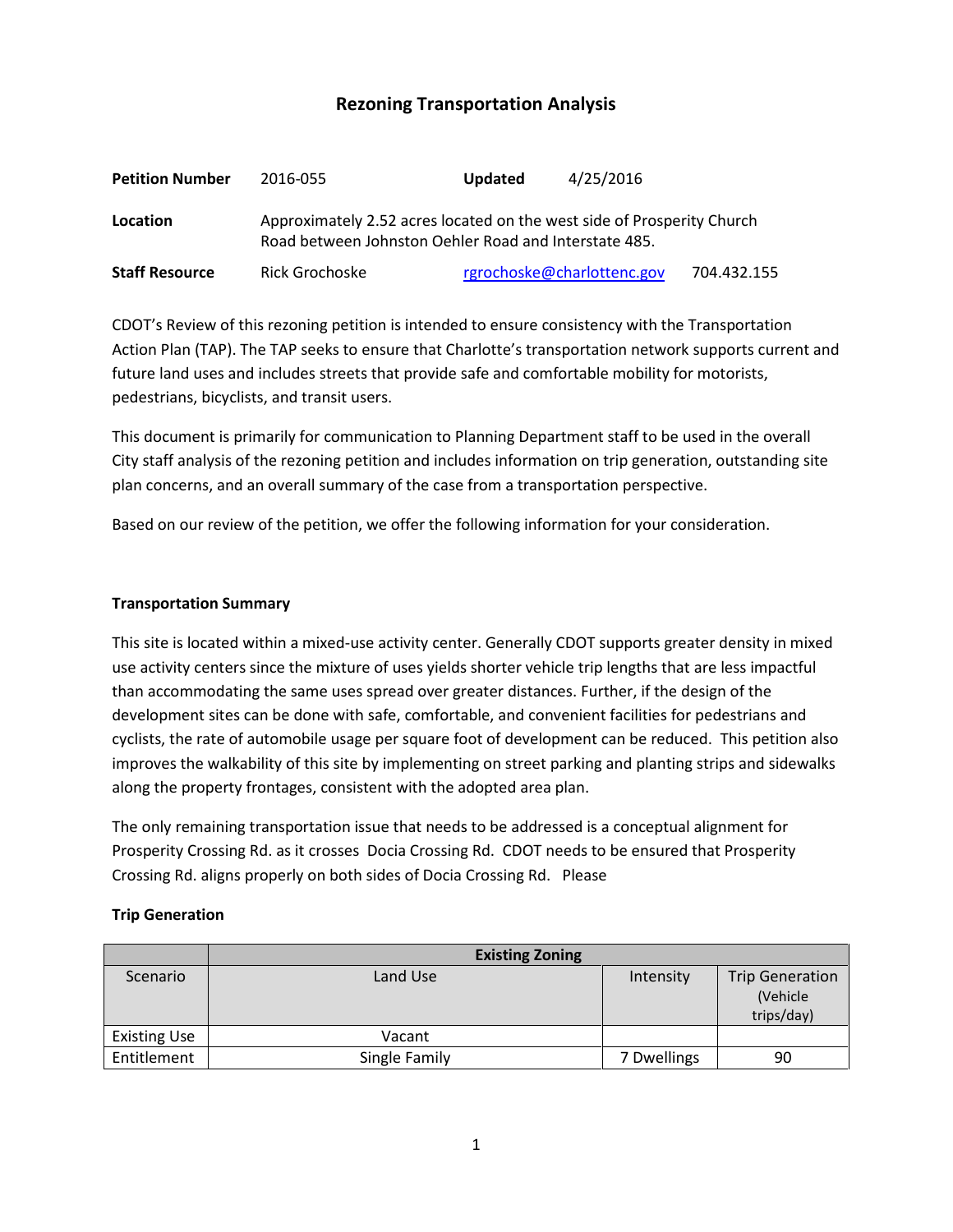# **Rezoning Transportation Analysis**

| <b>Petition Number</b> | 2016-055                                                                                                                        | <b>Updated</b> | 4/25/2016                  |             |  |
|------------------------|---------------------------------------------------------------------------------------------------------------------------------|----------------|----------------------------|-------------|--|
| Location               | Approximately 2.52 acres located on the west side of Prosperity Church<br>Road between Johnston Oehler Road and Interstate 485. |                |                            |             |  |
| <b>Staff Resource</b>  | Rick Grochoske                                                                                                                  |                | rgrochoske@charlottenc.gov | 704.432.155 |  |

CDOT's Review of this rezoning petition is intended to ensure consistency with the Transportation Action Plan (TAP). The TAP seeks to ensure that Charlotte's transportation network supports current and future land uses and includes streets that provide safe and comfortable mobility for motorists, pedestrians, bicyclists, and transit users.

This document is primarily for communication to Planning Department staff to be used in the overall City staff analysis of the rezoning petition and includes information on trip generation, outstanding site plan concerns, and an overall summary of the case from a transportation perspective.

Based on our review of the petition, we offer the following information for your consideration.

### **Transportation Summary**

This site is located within a mixed-use activity center. Generally CDOT supports greater density in mixed use activity centers since the mixture of uses yields shorter vehicle trip lengths that are less impactful than accommodating the same uses spread over greater distances. Further, if the design of the development sites can be done with safe, comfortable, and convenient facilities for pedestrians and cyclists, the rate of automobile usage per square foot of development can be reduced. This petition also improves the walkability of this site by implementing on street parking and planting strips and sidewalks along the property frontages, consistent with the adopted area plan.

The only remaining transportation issue that needs to be addressed is a conceptual alignment for Prosperity Crossing Rd. as it crosses Docia Crossing Rd. CDOT needs to be ensured that Prosperity Crossing Rd. aligns properly on both sides of Docia Crossing Rd. Please

### **Trip Generation**

|                     | <b>Existing Zoning</b> |             |                                                   |
|---------------------|------------------------|-------------|---------------------------------------------------|
| Scenario            | Land Use               | Intensity   | <b>Trip Generation</b><br>(Vehicle)<br>trips/day) |
| <b>Existing Use</b> | Vacant                 |             |                                                   |
| Entitlement         | Single Family          | 7 Dwellings | 90                                                |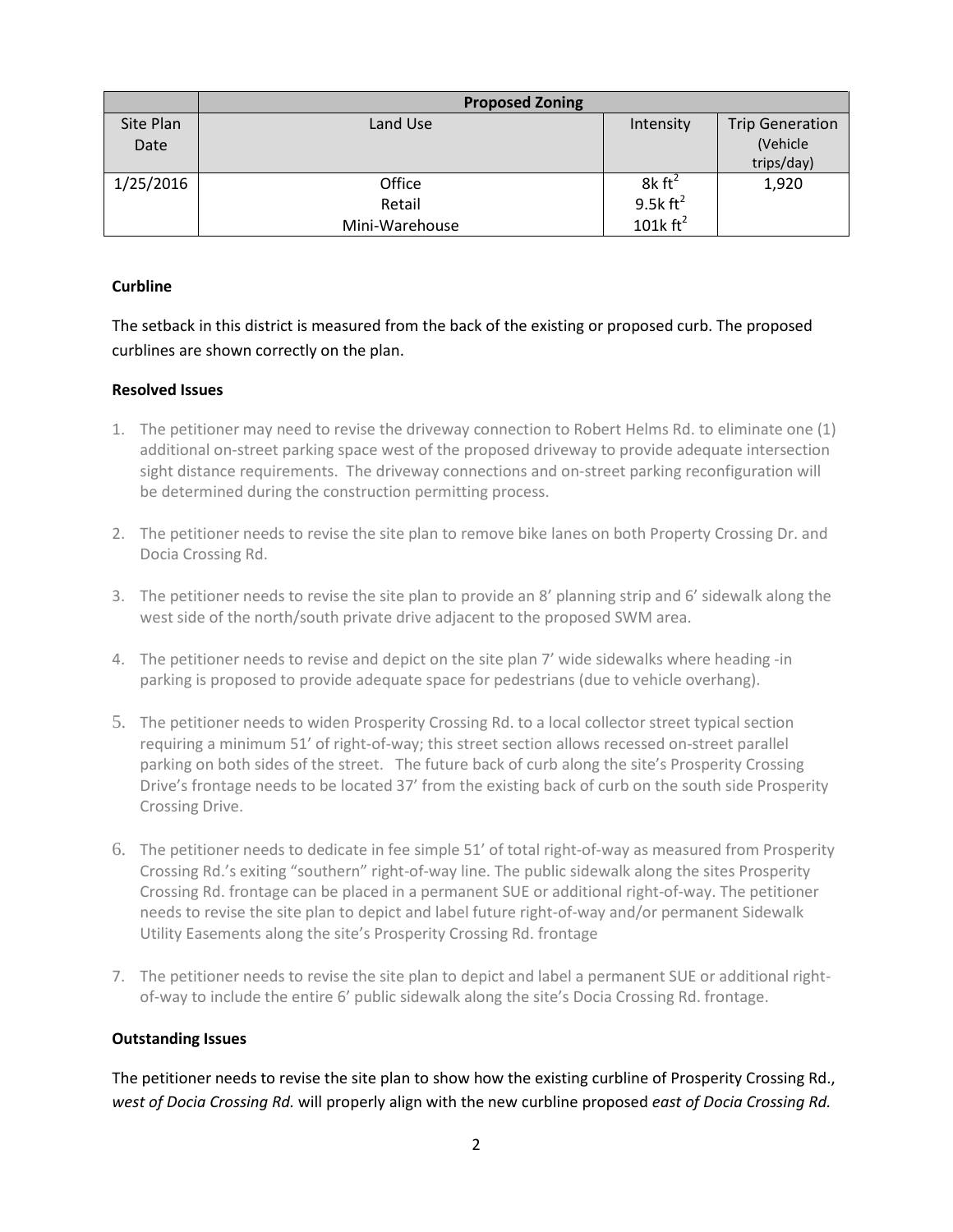|           | <b>Proposed Zoning</b> |                      |                        |  |
|-----------|------------------------|----------------------|------------------------|--|
| Site Plan | Land Use               | Intensity            | <b>Trip Generation</b> |  |
| Date      |                        |                      | (Vehicle               |  |
|           |                        |                      | trips/day)             |  |
| 1/25/2016 | Office                 | $8k \text{ ft}^2$    | 1,920                  |  |
|           | Retail                 | 9.5 $k \text{ ft}^2$ |                        |  |
|           | Mini-Warehouse         | 101 $k \text{ ft}^2$ |                        |  |

## **Curbline**

The setback in this district is measured from the back of the existing or proposed curb. The proposed curblines are shown correctly on the plan.

## **Resolved Issues**

- 1. The petitioner may need to revise the driveway connection to Robert Helms Rd. to eliminate one (1) additional on-street parking space west of the proposed driveway to provide adequate intersection sight distance requirements. The driveway connections and on-street parking reconfiguration will be determined during the construction permitting process.
- 2. The petitioner needs to revise the site plan to remove bike lanes on both Property Crossing Dr. and Docia Crossing Rd.
- 3. The petitioner needs to revise the site plan to provide an 8' planning strip and 6' sidewalk along the west side of the north/south private drive adjacent to the proposed SWM area.
- 4. The petitioner needs to revise and depict on the site plan 7' wide sidewalks where heading -in parking is proposed to provide adequate space for pedestrians (due to vehicle overhang).
- 5. The petitioner needs to widen Prosperity Crossing Rd. to a local collector street typical section requiring a minimum 51' of right-of-way; this street section allows recessed on-street parallel parking on both sides of the street. The future back of curb along the site's Prosperity Crossing Drive's frontage needs to be located 37' from the existing back of curb on the south side Prosperity Crossing Drive.
- 6. The petitioner needs to dedicate in fee simple 51' of total right-of-way as measured from Prosperity Crossing Rd.'s exiting "southern" right-of-way line. The public sidewalk along the sites Prosperity Crossing Rd. frontage can be placed in a permanent SUE or additional right-of-way. The petitioner needs to revise the site plan to depict and label future right-of-way and/or permanent Sidewalk Utility Easements along the site's Prosperity Crossing Rd. frontage
- 7. The petitioner needs to revise the site plan to depict and label a permanent SUE or additional rightof-way to include the entire 6' public sidewalk along the site's Docia Crossing Rd. frontage.

### **Outstanding Issues**

The petitioner needs to revise the site plan to show how the existing curbline of Prosperity Crossing Rd., *west of Docia Crossing Rd.* will properly align with the new curbline proposed *east of Docia Crossing Rd.*